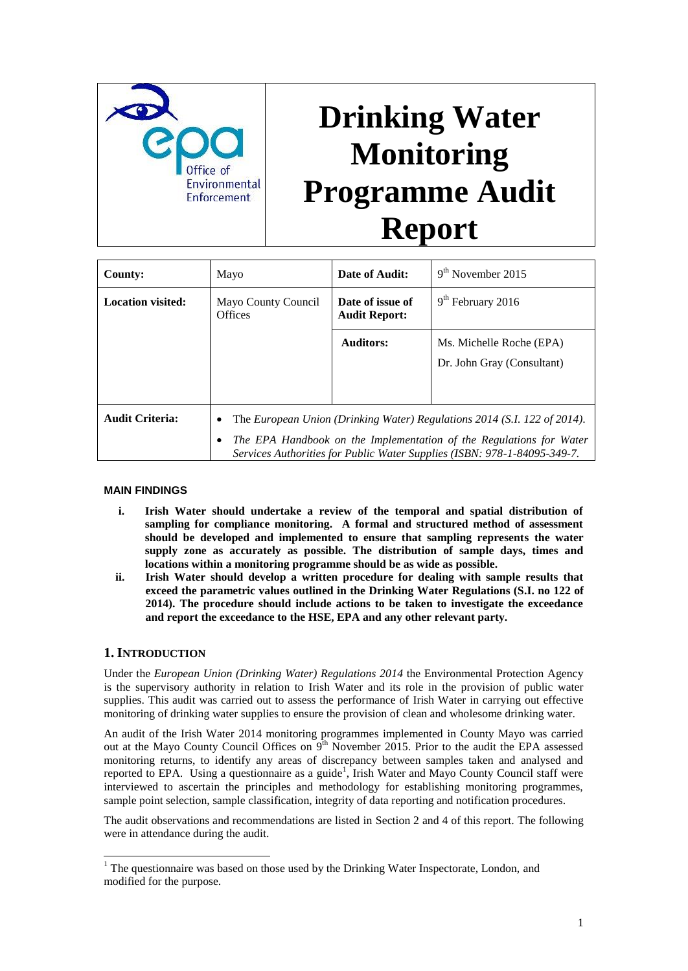

# **Drinking Water Monitoring Programme Audit Report**

| County:                  | Mayo                                                                                                                                                                                                                                  | Date of Audit:                           | $9th$ November 2015                                    |
|--------------------------|---------------------------------------------------------------------------------------------------------------------------------------------------------------------------------------------------------------------------------------|------------------------------------------|--------------------------------------------------------|
| <b>Location visited:</b> | Mayo County Council<br><b>Offices</b>                                                                                                                                                                                                 | Date of issue of<br><b>Audit Report:</b> | $9th$ February 2016                                    |
|                          |                                                                                                                                                                                                                                       | Auditors:                                | Ms. Michelle Roche (EPA)<br>Dr. John Gray (Consultant) |
| <b>Audit Criteria:</b>   | The European Union (Drinking Water) Regulations 2014 (S.I. 122 of 2014).<br>٠<br>The EPA Handbook on the Implementation of the Regulations for Water<br>٠<br>Services Authorities for Public Water Supplies (ISBN: 978-1-84095-349-7. |                                          |                                                        |

## **MAIN FINDINGS**

- **i. Irish Water should undertake a review of the temporal and spatial distribution of sampling for compliance monitoring. A formal and structured method of assessment should be developed and implemented to ensure that sampling represents the water supply zone as accurately as possible. The distribution of sample days, times and locations within a monitoring programme should be as wide as possible.**
- **ii. Irish Water should develop a written procedure for dealing with sample results that exceed the parametric values outlined in the Drinking Water Regulations (S.I. no 122 of 2014). The procedure should include actions to be taken to investigate the exceedance and report the exceedance to the HSE, EPA and any other relevant party.**

## **1. INTRODUCTION**

1

Under the *European Union (Drinking Water) Regulations 2014* the Environmental Protection Agency is the supervisory authority in relation to Irish Water and its role in the provision of public water supplies. This audit was carried out to assess the performance of Irish Water in carrying out effective monitoring of drinking water supplies to ensure the provision of clean and wholesome drinking water.

An audit of the Irish Water 2014 monitoring programmes implemented in County Mayo was carried out at the Mayo County Council Offices on 9<sup>th</sup> November 2015. Prior to the audit the EPA assessed monitoring returns, to identify any areas of discrepancy between samples taken and analysed and reported to EPA. Using a questionnaire as a guide<sup>1</sup>, Irish Water and Mayo County Council staff were interviewed to ascertain the principles and methodology for establishing monitoring programmes, sample point selection, sample classification, integrity of data reporting and notification procedures.

The audit observations and recommendations are listed in Section 2 and 4 of this report. The following were in attendance during the audit.

<sup>&</sup>lt;sup>1</sup> The questionnaire was based on those used by the Drinking Water Inspectorate, London, and modified for the purpose.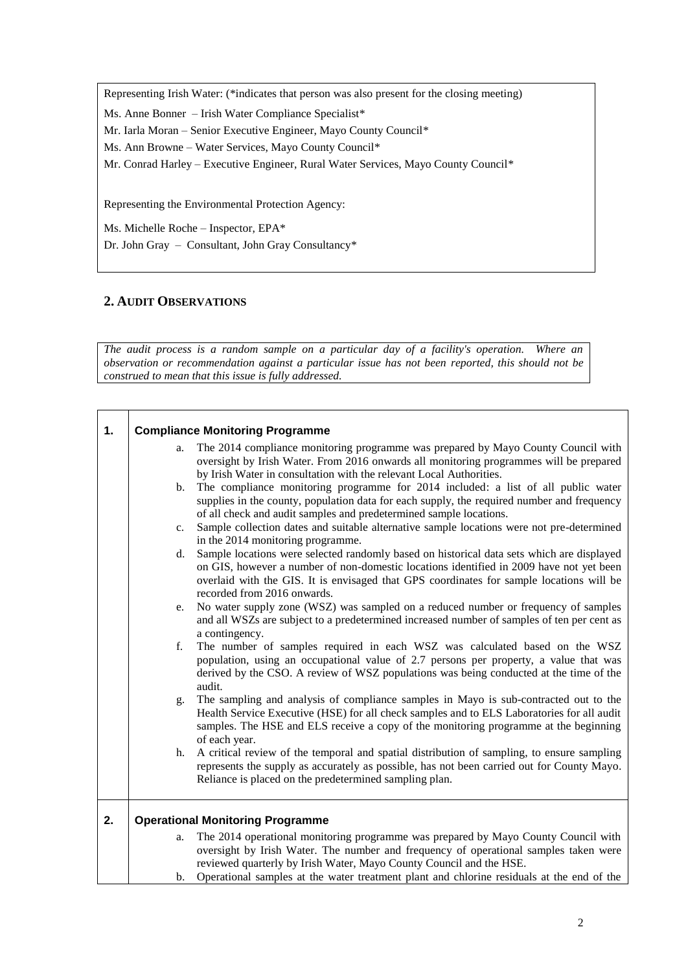Representing Irish Water: (\*indicates that person was also present for the closing meeting)

Ms. Anne Bonner – Irish Water Compliance Specialist\*

Mr. Iarla Moran – Senior Executive Engineer, Mayo County Council\*

Ms. Ann Browne – Water Services, Mayo County Council\*

Mr. Conrad Harley – Executive Engineer, Rural Water Services, Mayo County Council\*

Representing the Environmental Protection Agency:

Ms. Michelle Roche – Inspector, EPA\*

Dr. John Gray – Consultant, John Gray Consultancy\*

# **2. AUDIT OBSERVATIONS**

*The audit process is a random sample on a particular day of a facility's operation. Where an observation or recommendation against a particular issue has not been reported, this should not be construed to mean that this issue is fully addressed.*

| 1. | <b>Compliance Monitoring Programme</b>  |                                                                                                                                                                                                                                                                                                                 |  |  |  |
|----|-----------------------------------------|-----------------------------------------------------------------------------------------------------------------------------------------------------------------------------------------------------------------------------------------------------------------------------------------------------------------|--|--|--|
|    | a.                                      | The 2014 compliance monitoring programme was prepared by Mayo County Council with<br>oversight by Irish Water. From 2016 onwards all monitoring programmes will be prepared<br>by Irish Water in consultation with the relevant Local Authorities.                                                              |  |  |  |
|    | $b_{\cdot}$                             | The compliance monitoring programme for 2014 included: a list of all public water<br>supplies in the county, population data for each supply, the required number and frequency<br>of all check and audit samples and predetermined sample locations.                                                           |  |  |  |
|    | $c_{\cdot}$                             | Sample collection dates and suitable alternative sample locations were not pre-determined<br>in the 2014 monitoring programme.                                                                                                                                                                                  |  |  |  |
|    | d.                                      | Sample locations were selected randomly based on historical data sets which are displayed<br>on GIS, however a number of non-domestic locations identified in 2009 have not yet been<br>overlaid with the GIS. It is envisaged that GPS coordinates for sample locations will be<br>recorded from 2016 onwards. |  |  |  |
|    | e.                                      | No water supply zone (WSZ) was sampled on a reduced number or frequency of samples<br>and all WSZs are subject to a predetermined increased number of samples of ten per cent as<br>a contingency.                                                                                                              |  |  |  |
|    | f.                                      | The number of samples required in each WSZ was calculated based on the WSZ<br>population, using an occupational value of 2.7 persons per property, a value that was<br>derived by the CSO. A review of WSZ populations was being conducted at the time of the<br>audit.                                         |  |  |  |
|    | g.                                      | The sampling and analysis of compliance samples in Mayo is sub-contracted out to the<br>Health Service Executive (HSE) for all check samples and to ELS Laboratories for all audit<br>samples. The HSE and ELS receive a copy of the monitoring programme at the beginning<br>of each year.                     |  |  |  |
|    | h.                                      | A critical review of the temporal and spatial distribution of sampling, to ensure sampling<br>represents the supply as accurately as possible, has not been carried out for County Mayo.<br>Reliance is placed on the predetermined sampling plan.                                                              |  |  |  |
| 2. | <b>Operational Monitoring Programme</b> |                                                                                                                                                                                                                                                                                                                 |  |  |  |
|    | a.                                      | The 2014 operational monitoring programme was prepared by Mayo County Council with<br>oversight by Irish Water. The number and frequency of operational samples taken were<br>reviewed quarterly by Irish Water, Mayo County Council and the HSE.                                                               |  |  |  |
|    |                                         | b. Operational samples at the water treatment plant and chlorine residuals at the end of the                                                                                                                                                                                                                    |  |  |  |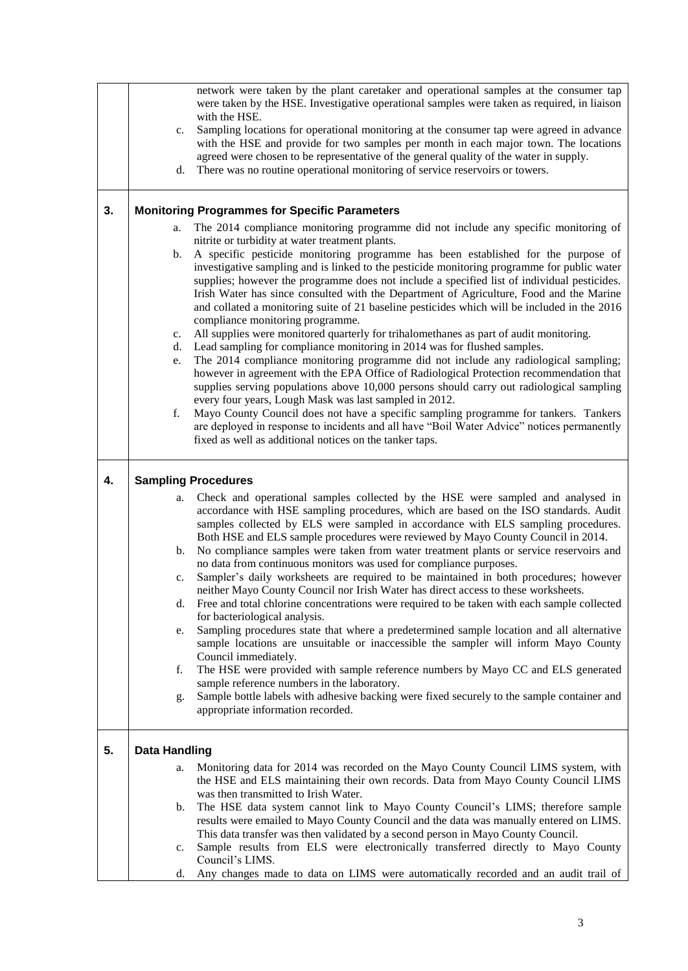|    | network were taken by the plant caretaker and operational samples at the consumer tap<br>were taken by the HSE. Investigative operational samples were taken as required, in liaison<br>with the HSE.<br>Sampling locations for operational monitoring at the consumer tap were agreed in advance<br>c.<br>with the HSE and provide for two samples per month in each major town. The locations<br>agreed were chosen to be representative of the general quality of the water in supply.<br>There was no routine operational monitoring of service reservoirs or towers.<br>d.                                                                                                                                                                                                                                                                                                                                                                                                                                                                                                                                                                                                                                                                                                                                                                                                                                                                                                                                     |
|----|---------------------------------------------------------------------------------------------------------------------------------------------------------------------------------------------------------------------------------------------------------------------------------------------------------------------------------------------------------------------------------------------------------------------------------------------------------------------------------------------------------------------------------------------------------------------------------------------------------------------------------------------------------------------------------------------------------------------------------------------------------------------------------------------------------------------------------------------------------------------------------------------------------------------------------------------------------------------------------------------------------------------------------------------------------------------------------------------------------------------------------------------------------------------------------------------------------------------------------------------------------------------------------------------------------------------------------------------------------------------------------------------------------------------------------------------------------------------------------------------------------------------|
| 3. | <b>Monitoring Programmes for Specific Parameters</b><br>The 2014 compliance monitoring programme did not include any specific monitoring of<br>a.<br>nitrite or turbidity at water treatment plants.<br>A specific pesticide monitoring programme has been established for the purpose of<br>b.<br>investigative sampling and is linked to the pesticide monitoring programme for public water<br>supplies; however the programme does not include a specified list of individual pesticides.<br>Irish Water has since consulted with the Department of Agriculture, Food and the Marine<br>and collated a monitoring suite of 21 baseline pesticides which will be included in the 2016<br>compliance monitoring programme.<br>All supplies were monitored quarterly for trihalomethanes as part of audit monitoring.<br>c.<br>Lead sampling for compliance monitoring in 2014 was for flushed samples.<br>d.<br>The 2014 compliance monitoring programme did not include any radiological sampling;<br>e.<br>however in agreement with the EPA Office of Radiological Protection recommendation that<br>supplies serving populations above 10,000 persons should carry out radiological sampling<br>every four years, Lough Mask was last sampled in 2012.<br>f.<br>Mayo County Council does not have a specific sampling programme for tankers. Tankers<br>are deployed in response to incidents and all have "Boil Water Advice" notices permanently<br>fixed as well as additional notices on the tanker taps. |
| 4. | <b>Sampling Procedures</b><br>Check and operational samples collected by the HSE were sampled and analysed in<br>a.<br>accordance with HSE sampling procedures, which are based on the ISO standards. Audit<br>samples collected by ELS were sampled in accordance with ELS sampling procedures.<br>Both HSE and ELS sample procedures were reviewed by Mayo County Council in 2014.<br>No compliance samples were taken from water treatment plants or service reservoirs and<br>b.<br>no data from continuous monitors was used for compliance purposes.<br>Sampler's daily worksheets are required to be maintained in both procedures; however<br>c.<br>neither Mayo County Council nor Irish Water has direct access to these worksheets.<br>Free and total chlorine concentrations were required to be taken with each sample collected<br>d.<br>for bacteriological analysis.<br>Sampling procedures state that where a predetermined sample location and all alternative<br>e.<br>sample locations are unsuitable or inaccessible the sampler will inform Mayo County<br>Council immediately.<br>The HSE were provided with sample reference numbers by Mayo CC and ELS generated<br>f.<br>sample reference numbers in the laboratory.<br>Sample bottle labels with adhesive backing were fixed securely to the sample container and<br>g.<br>appropriate information recorded.                                                                                                                             |
| 5. | <b>Data Handling</b><br>Monitoring data for 2014 was recorded on the Mayo County Council LIMS system, with<br>a.<br>the HSE and ELS maintaining their own records. Data from Mayo County Council LIMS<br>was then transmitted to Irish Water.<br>The HSE data system cannot link to Mayo County Council's LIMS; therefore sample<br>b.<br>results were emailed to Mayo County Council and the data was manually entered on LIMS.<br>This data transfer was then validated by a second person in Mayo County Council.<br>Sample results from ELS were electronically transferred directly to Mayo County<br>c.<br>Council's LIMS.<br>Any changes made to data on LIMS were automatically recorded and an audit trail of<br>d.                                                                                                                                                                                                                                                                                                                                                                                                                                                                                                                                                                                                                                                                                                                                                                                        |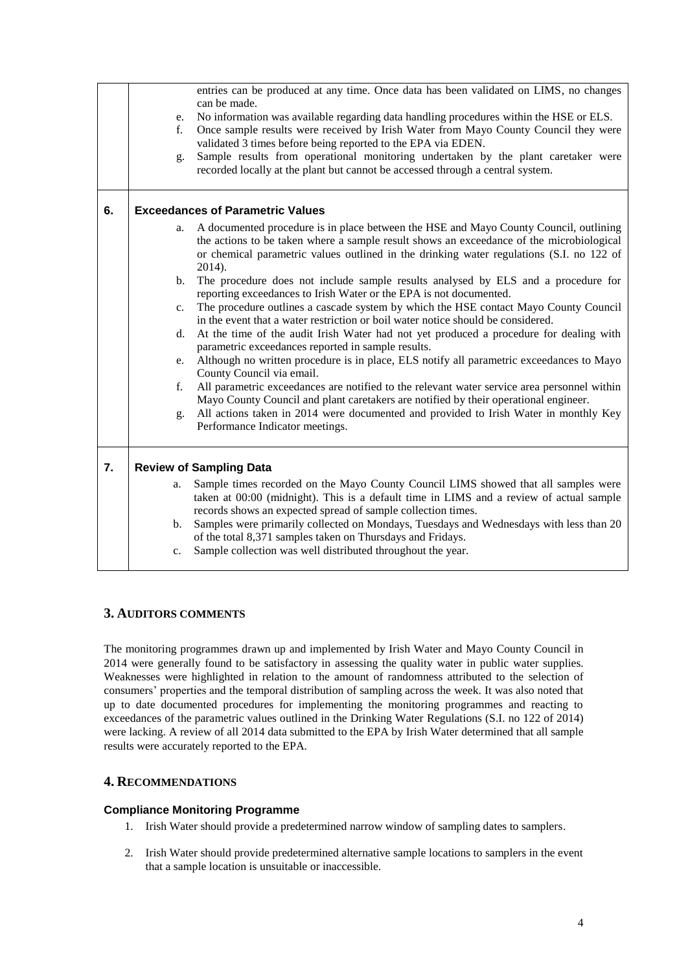|    | e.<br>$f_{\cdot}$<br>g.                 | entries can be produced at any time. Once data has been validated on LIMS, no changes<br>can be made.<br>No information was available regarding data handling procedures within the HSE or ELS.<br>Once sample results were received by Irish Water from Mayo County Council they were<br>validated 3 times before being reported to the EPA via EDEN.<br>Sample results from operational monitoring undertaken by the plant caretaker were<br>recorded locally at the plant but cannot be accessed through a central system. |  |  |  |
|----|-----------------------------------------|-------------------------------------------------------------------------------------------------------------------------------------------------------------------------------------------------------------------------------------------------------------------------------------------------------------------------------------------------------------------------------------------------------------------------------------------------------------------------------------------------------------------------------|--|--|--|
| 6. | <b>Exceedances of Parametric Values</b> |                                                                                                                                                                                                                                                                                                                                                                                                                                                                                                                               |  |  |  |
|    | a.                                      | A documented procedure is in place between the HSE and Mayo County Council, outlining<br>the actions to be taken where a sample result shows an exceedance of the microbiological<br>or chemical parametric values outlined in the drinking water regulations (S.I. no 122 of<br>2014).                                                                                                                                                                                                                                       |  |  |  |
|    | $\mathbf{b}$ .                          | The procedure does not include sample results analysed by ELS and a procedure for<br>reporting exceedances to Irish Water or the EPA is not documented.                                                                                                                                                                                                                                                                                                                                                                       |  |  |  |
|    | $\mathbf{c}$ .                          | The procedure outlines a cascade system by which the HSE contact Mayo County Council<br>in the event that a water restriction or boil water notice should be considered.                                                                                                                                                                                                                                                                                                                                                      |  |  |  |
|    | d.                                      | At the time of the audit Irish Water had not yet produced a procedure for dealing with<br>parametric exceedances reported in sample results.                                                                                                                                                                                                                                                                                                                                                                                  |  |  |  |
|    | e.                                      | Although no written procedure is in place, ELS notify all parametric exceedances to Mayo<br>County Council via email.                                                                                                                                                                                                                                                                                                                                                                                                         |  |  |  |
|    | f.                                      | All parametric exceedances are notified to the relevant water service area personnel within<br>Mayo County Council and plant caretakers are notified by their operational engineer.                                                                                                                                                                                                                                                                                                                                           |  |  |  |
|    | g.                                      | All actions taken in 2014 were documented and provided to Irish Water in monthly Key<br>Performance Indicator meetings.                                                                                                                                                                                                                                                                                                                                                                                                       |  |  |  |
| 7. |                                         | <b>Review of Sampling Data</b>                                                                                                                                                                                                                                                                                                                                                                                                                                                                                                |  |  |  |
|    | a.                                      | Sample times recorded on the Mayo County Council LIMS showed that all samples were<br>taken at 00:00 (midnight). This is a default time in LIMS and a review of actual sample                                                                                                                                                                                                                                                                                                                                                 |  |  |  |
|    | b.                                      | records shows an expected spread of sample collection times.<br>Samples were primarily collected on Mondays, Tuesdays and Wednesdays with less than 20<br>of the total 8,371 samples taken on Thursdays and Fridays.                                                                                                                                                                                                                                                                                                          |  |  |  |
|    | c.                                      | Sample collection was well distributed throughout the year.                                                                                                                                                                                                                                                                                                                                                                                                                                                                   |  |  |  |

## **3. AUDITORS COMMENTS**

The monitoring programmes drawn up and implemented by Irish Water and Mayo County Council in 2014 were generally found to be satisfactory in assessing the quality water in public water supplies. Weaknesses were highlighted in relation to the amount of randomness attributed to the selection of consumers' properties and the temporal distribution of sampling across the week. It was also noted that up to date documented procedures for implementing the monitoring programmes and reacting to exceedances of the parametric values outlined in the Drinking Water Regulations (S.I. no 122 of 2014) were lacking. A review of all 2014 data submitted to the EPA by Irish Water determined that all sample results were accurately reported to the EPA.

## **4. RECOMMENDATIONS**

## **Compliance Monitoring Programme**

- 1. Irish Water should provide a predetermined narrow window of sampling dates to samplers.
- 2. Irish Water should provide predetermined alternative sample locations to samplers in the event that a sample location is unsuitable or inaccessible.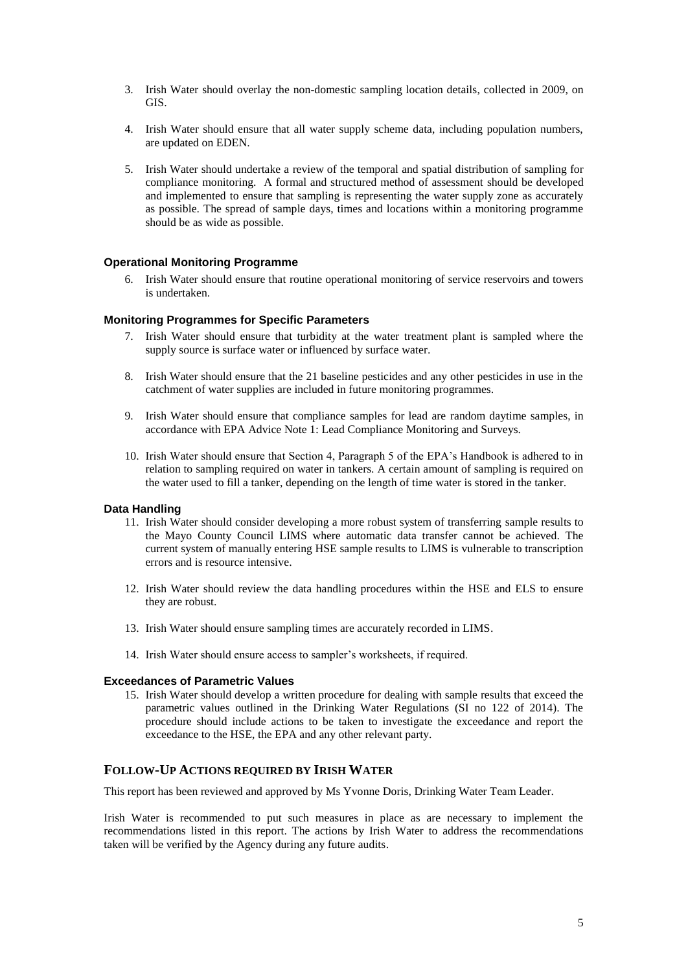- 3. Irish Water should overlay the non-domestic sampling location details, collected in 2009, on GIS.
- 4. Irish Water should ensure that all water supply scheme data, including population numbers, are updated on EDEN.
- 5. Irish Water should undertake a review of the temporal and spatial distribution of sampling for compliance monitoring. A formal and structured method of assessment should be developed and implemented to ensure that sampling is representing the water supply zone as accurately as possible. The spread of sample days, times and locations within a monitoring programme should be as wide as possible.

### **Operational Monitoring Programme**

6. Irish Water should ensure that routine operational monitoring of service reservoirs and towers is undertaken.

#### **Monitoring Programmes for Specific Parameters**

- 7. Irish Water should ensure that turbidity at the water treatment plant is sampled where the supply source is surface water or influenced by surface water.
- 8. Irish Water should ensure that the 21 baseline pesticides and any other pesticides in use in the catchment of water supplies are included in future monitoring programmes.
- 9. Irish Water should ensure that compliance samples for lead are random daytime samples, in accordance with EPA Advice Note 1: Lead Compliance Monitoring and Surveys.
- 10. Irish Water should ensure that Section 4, Paragraph 5 of the EPA's Handbook is adhered to in relation to sampling required on water in tankers. A certain amount of sampling is required on the water used to fill a tanker, depending on the length of time water is stored in the tanker.

#### **Data Handling**

- 11. Irish Water should consider developing a more robust system of transferring sample results to the Mayo County Council LIMS where automatic data transfer cannot be achieved. The current system of manually entering HSE sample results to LIMS is vulnerable to transcription errors and is resource intensive.
- 12. Irish Water should review the data handling procedures within the HSE and ELS to ensure they are robust.
- 13. Irish Water should ensure sampling times are accurately recorded in LIMS.
- 14. Irish Water should ensure access to sampler's worksheets, if required.

#### **Exceedances of Parametric Values**

15. Irish Water should develop a written procedure for dealing with sample results that exceed the parametric values outlined in the Drinking Water Regulations (SI no 122 of 2014). The procedure should include actions to be taken to investigate the exceedance and report the exceedance to the HSE, the EPA and any other relevant party.

### **FOLLOW-UP ACTIONS REQUIRED BY IRISH WATER**

This report has been reviewed and approved by Ms Yvonne Doris, Drinking Water Team Leader.

Irish Water is recommended to put such measures in place as are necessary to implement the recommendations listed in this report. The actions by Irish Water to address the recommendations taken will be verified by the Agency during any future audits.